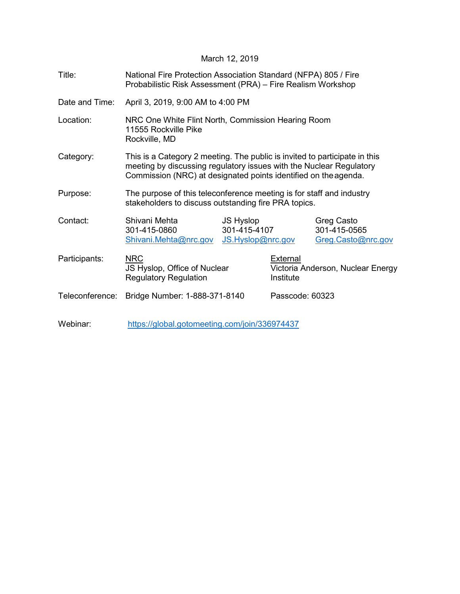## March 12, 2019

| Title:          | National Fire Protection Association Standard (NFPA) 805 / Fire<br>Probabilistic Risk Assessment (PRA) – Fire Realism Workshop                                                                                       |                                                |                                                                   |                                                  |  |
|-----------------|----------------------------------------------------------------------------------------------------------------------------------------------------------------------------------------------------------------------|------------------------------------------------|-------------------------------------------------------------------|--------------------------------------------------|--|
| Date and Time:  | April 3, 2019, 9:00 AM to 4:00 PM                                                                                                                                                                                    |                                                |                                                                   |                                                  |  |
| Location:       | NRC One White Flint North, Commission Hearing Room<br>11555 Rockville Pike<br>Rockville, MD                                                                                                                          |                                                |                                                                   |                                                  |  |
| Category:       | This is a Category 2 meeting. The public is invited to participate in this<br>meeting by discussing regulatory issues with the Nuclear Regulatory<br>Commission (NRC) at designated points identified on the agenda. |                                                |                                                                   |                                                  |  |
| Purpose:        | The purpose of this teleconference meeting is for staff and industry<br>stakeholders to discuss outstanding fire PRA topics.                                                                                         |                                                |                                                                   |                                                  |  |
| Contact:        | Shivani Mehta<br>301-415-0860<br>Shivani.Mehta@nrc.gov                                                                                                                                                               | JS Hyslop<br>301-415-4107<br>JS.Hyslop@nrc.gov |                                                                   | Greg Casto<br>301-415-0565<br>Greg.Casto@nrc.gov |  |
| Participants:   | <b>NRC</b><br>JS Hyslop, Office of Nuclear<br><b>Regulatory Regulation</b>                                                                                                                                           |                                                | <b>External</b><br>Victoria Anderson, Nuclear Energy<br>Institute |                                                  |  |
| Teleconference: | Bridge Number: 1-888-371-8140                                                                                                                                                                                        |                                                | Passcode: 60323                                                   |                                                  |  |
| <b>ALL 1.</b>   |                                                                                                                                                                                                                      |                                                |                                                                   |                                                  |  |

Webinar: <https://global.gotomeeting.com/join/336974437>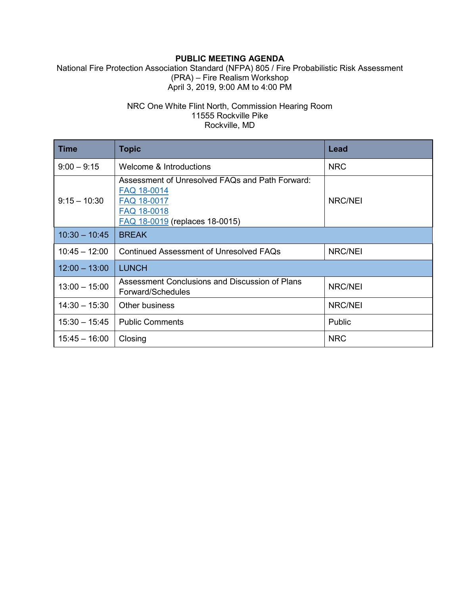## **PUBLIC MEETING AGENDA**

National Fire Protection Association Standard (NFPA) 805 / Fire Probabilistic Risk Assessment (PRA) – Fire Realism Workshop April 3, 2019, 9:00 AM to 4:00 PM

## NRC One White Flint North, Commission Hearing Room 11555 Rockville Pike Rockville, MD

| Time            | <b>Topic</b>                                                                                                                   | Lead           |
|-----------------|--------------------------------------------------------------------------------------------------------------------------------|----------------|
| $9:00 - 9:15$   | Welcome & Introductions                                                                                                        | <b>NRC</b>     |
| $9:15 - 10:30$  | Assessment of Unresolved FAQs and Path Forward:<br>FAQ 18-0014<br>FAQ 18-0017<br>FAQ 18-0018<br>FAQ 18-0019 (replaces 18-0015) | NRC/NEI        |
| $10:30 - 10:45$ | <b>BREAK</b>                                                                                                                   |                |
| $10:45 - 12:00$ | <b>Continued Assessment of Unresolved FAQs</b>                                                                                 | <b>NRC/NEI</b> |
| $12:00 - 13:00$ | <b>LUNCH</b>                                                                                                                   |                |
| $13:00 - 15:00$ | Assessment Conclusions and Discussion of Plans<br>Forward/Schedules                                                            | <b>NRC/NEI</b> |
| $14:30 - 15:30$ | Other business                                                                                                                 | NRC/NEI        |
| $15:30 - 15:45$ | <b>Public Comments</b>                                                                                                         | Public         |
| $15:45 - 16:00$ | Closing                                                                                                                        | <b>NRC</b>     |